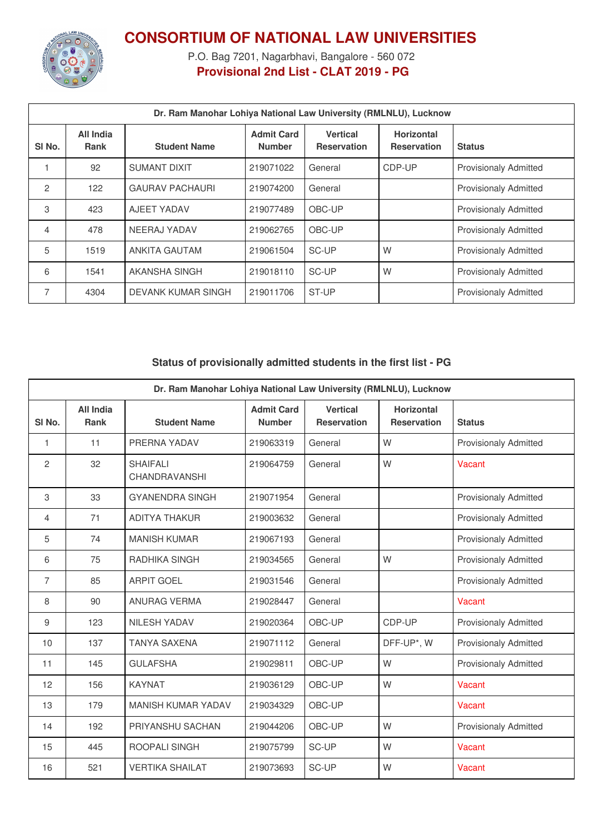

## **CONSORTIUM OF NATIONAL LAW UNIVERSITIES**

P.O. Bag 7201, Nagarbhavi, Bangalore - 560 072 **Provisional 2nd List - CLAT 2019 - PG**

| Dr. Ram Manohar Lohiya National Law University (RMLNLU), Lucknow |                          |                        |                                    |                                       |                                         |                              |
|------------------------------------------------------------------|--------------------------|------------------------|------------------------------------|---------------------------------------|-----------------------------------------|------------------------------|
| SI <sub>No.</sub>                                                | All India<br><b>Rank</b> | <b>Student Name</b>    | <b>Admit Card</b><br><b>Number</b> | <b>Vertical</b><br><b>Reservation</b> | <b>Horizontal</b><br><b>Reservation</b> | <b>Status</b>                |
|                                                                  | 92                       | <b>SUMANT DIXIT</b>    | 219071022                          | General                               | CDP-UP                                  | <b>Provisionaly Admitted</b> |
| $\mathcal{P}$                                                    | 122                      | <b>GAURAV PACHAURI</b> | 219074200                          | General                               |                                         | <b>Provisionaly Admitted</b> |
| 3                                                                | 423                      | AJEET YADAV            | 219077489                          | OBC-UP                                |                                         | <b>Provisionaly Admitted</b> |
| 4                                                                | 478                      | NEERAJ YADAV           | 219062765                          | OBC-UP                                |                                         | <b>Provisionaly Admitted</b> |
| 5                                                                | 1519                     | <b>ANKITA GAUTAM</b>   | 219061504                          | SC-UP                                 | W                                       | <b>Provisionaly Admitted</b> |
| 6                                                                | 1541                     | AKANSHA SINGH          | 219018110                          | SC-UP                                 | W                                       | <b>Provisionaly Admitted</b> |
| 7                                                                | 4304                     | DEVANK KUMAR SINGH     | 219011706                          | ST-UP                                 |                                         | <b>Provisionaly Admitted</b> |

## **Status of provisionally admitted students in the first list - PG**

| Dr. Ram Manohar Lohiya National Law University (RMLNLU), Lucknow |                                 |                                  |                                    |                                       |                                         |                              |
|------------------------------------------------------------------|---------------------------------|----------------------------------|------------------------------------|---------------------------------------|-----------------------------------------|------------------------------|
| SI <sub>No.</sub>                                                | <b>All India</b><br><b>Rank</b> | <b>Student Name</b>              | <b>Admit Card</b><br><b>Number</b> | <b>Vertical</b><br><b>Reservation</b> | <b>Horizontal</b><br><b>Reservation</b> | <b>Status</b>                |
| 1                                                                | 11                              | PRERNA YADAV                     | 219063319                          | General                               | W                                       | <b>Provisionaly Admitted</b> |
| $\overline{2}$                                                   | 32                              | <b>SHAIFALI</b><br>CHANDRAVANSHI | 219064759                          | General                               | W                                       | Vacant                       |
| 3                                                                | 33                              | <b>GYANENDRA SINGH</b>           | 219071954                          | General                               |                                         | <b>Provisionaly Admitted</b> |
| 4                                                                | 71                              | <b>ADITYA THAKUR</b>             | 219003632                          | General                               |                                         | <b>Provisionaly Admitted</b> |
| 5                                                                | 74                              | <b>MANISH KUMAR</b>              | 219067193                          | General                               |                                         | <b>Provisionaly Admitted</b> |
| 6                                                                | 75                              | <b>RADHIKA SINGH</b>             | 219034565                          | General                               | W                                       | <b>Provisionaly Admitted</b> |
| 7                                                                | 85                              | <b>ARPIT GOEL</b>                | 219031546                          | General                               |                                         | <b>Provisionaly Admitted</b> |
| 8                                                                | 90                              | <b>ANURAG VERMA</b>              | 219028447                          | General                               |                                         | Vacant                       |
| 9                                                                | 123                             | <b>NILESH YADAV</b>              | 219020364                          | OBC-UP                                | CDP-UP                                  | <b>Provisionaly Admitted</b> |
| 10                                                               | 137                             | <b>TANYA SAXENA</b>              | 219071112                          | General                               | DFF-UP*, W                              | <b>Provisionaly Admitted</b> |
| 11                                                               | 145                             | <b>GULAFSHA</b>                  | 219029811                          | OBC-UP                                | W                                       | <b>Provisionaly Admitted</b> |
| 12                                                               | 156                             | <b>KAYNAT</b>                    | 219036129                          | OBC-UP                                | W                                       | Vacant                       |
| 13                                                               | 179                             | <b>MANISH KUMAR YADAV</b>        | 219034329                          | OBC-UP                                |                                         | Vacant                       |
| 14                                                               | 192                             | PRIYANSHU SACHAN                 | 219044206                          | OBC-UP                                | W                                       | <b>Provisionaly Admitted</b> |
| 15                                                               | 445                             | <b>ROOPALI SINGH</b>             | 219075799                          | SC-UP                                 | W                                       | Vacant                       |
| 16                                                               | 521                             | <b>VERTIKA SHAILAT</b>           | 219073693                          | SC-UP                                 | W                                       | Vacant                       |